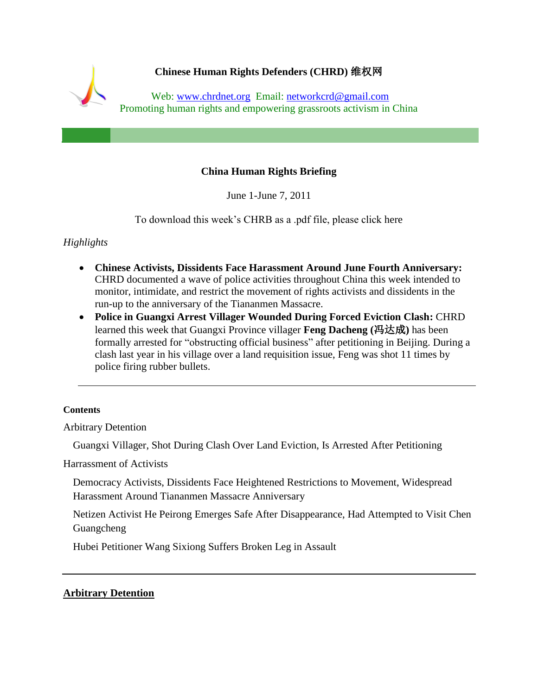<span id="page-0-0"></span>

# **China Human Rights Briefing**

June 1-June 7, 2011

To download this week's CHRB as a .pdf file, please click here

# *Highlights*

- **Chinese Activists, Dissidents Face Harassment Around June Fourth Anniversary:** CHRD documented a wave of police activities throughout China this week intended to monitor, intimidate, and restrict the movement of rights activists and dissidents in the run-up to the anniversary of the Tiananmen Massacre.
- **Police in Guangxi Arrest Villager Wounded During Forced Eviction Clash:** CHRD learned this week that Guangxi Province villager **Feng Dacheng (**冯达成**)** has been formally arrested for "obstructing official business" after petitioning in Beijing. During a clash last year in his village over a land requisition issue, Feng was shot 11 times by police firing rubber bullets.

### **[Contents](#page-0-0)**

[Arbitrary Detention](#page-0-1)

[Guangxi Villager, Shot During Clash Over Land Eviction, Is Arrested After Petitioning](#page-1-0)

[Harrassment of Activists](#page-1-1)

[Democracy Activists, Dissidents Face Heightened Restrictions to Movement, Widespread](#page-1-2)  [Harassment Around Tiananmen Massacre Anniversary](#page-1-2)

[Netizen Activist He Peirong Emerges Safe After Disappearance, Had Attempted to Visit Chen](#page-3-0)  [Guangcheng](#page-3-0)

[Hubei Petitioner Wang Sixiong Suffers Broken Leg in Assault](#page-3-1)

## <span id="page-0-1"></span>**Arbitrary Detention**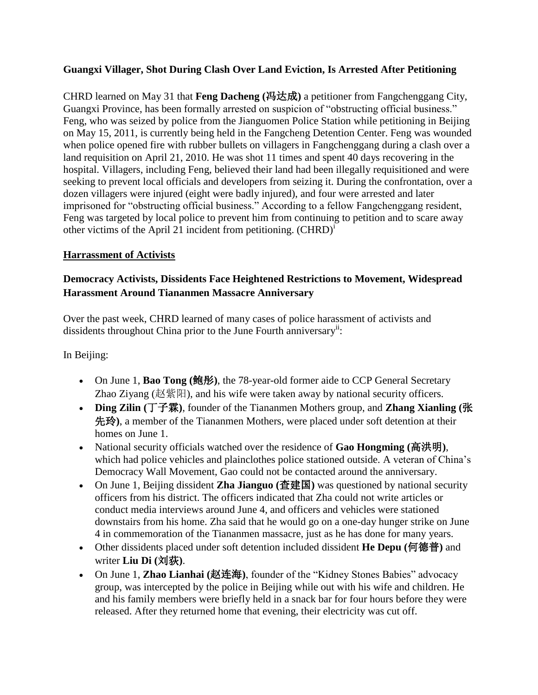# <span id="page-1-0"></span>**Guangxi Villager, Shot During Clash Over Land Eviction, Is Arrested After Petitioning**

CHRD learned on May 31 that **Feng Dacheng (**冯达成**)** a petitioner from Fangchenggang City, Guangxi Province, has been formally arrested on suspicion of "obstructing official business." Feng, who was seized by police from the Jianguomen Police Station while petitioning in Beijing on May 15, 2011, is currently being held in the Fangcheng Detention Center. Feng was wounded when police opened fire with rubber bullets on villagers in Fangchenggang during a clash over a land requisition on April 21, 2010. He was shot 11 times and spent 40 days recovering in the hospital. Villagers, including Feng, believed their land had been illegally requisitioned and were seeking to prevent local officials and developers from seizing it. During the confrontation, over a dozen villagers were injured (eight were badly injured), and four were arrested and later imprisoned for "obstructing official business." According to a fellow Fangchenggang resident, Feng was targeted by local police to prevent him from continuing to petition and to scare away other victims of the April 21 incident from petitioning.  $(CHRD)^{i}$ 

## <span id="page-1-1"></span>**Harrassment of Activists**

# <span id="page-1-2"></span>**Democracy Activists, Dissidents Face Heightened Restrictions to Movement, Widespread Harassment Around Tiananmen Massacre Anniversary**

Over the past week, CHRD learned of many cases of police harassment of activists and dissidents throughout China prior to the June Fourth anniversary<sup>ii</sup>:

In Beijing:

- On June 1, **Bao Tong (**鲍彤**)**, the 78-year-old former aide to CCP General Secretary Zhao Ziyang (赵紫阳), and his wife were taken away by national security officers.
- **Ding Zilin (**丁子霖**)**, founder of the Tiananmen Mothers group, and **Zhang Xianling (**张 先玲**)**, a member of the Tiananmen Mothers, were placed under soft detention at their homes on June 1.
- National security officials watched over the residence of **Gao Hongming (**高洪明**)**, which had police vehicles and plainclothes police stationed outside. A veteran of China's Democracy Wall Movement, Gao could not be contacted around the anniversary.
- On June 1, Beijing dissident **Zha Jianguo (**查建国**)** was questioned by national security officers from his district. The officers indicated that Zha could not write articles or conduct media interviews around June 4, and officers and vehicles were stationed downstairs from his home. Zha said that he would go on a one-day hunger strike on June 4 in commemoration of the Tiananmen massacre, just as he has done for many years.
- Other dissidents placed under soft detention included dissident **He Depu (**何德普**)** and writer **Liu Di (**刘荻**)**.
- On June 1, **Zhao Lianhai (**赵连海**)**, founder of the "Kidney Stones Babies" advocacy group, was intercepted by the police in Beijing while out with his wife and children. He and his family members were briefly held in a snack bar for four hours before they were released. After they returned home that evening, their electricity was cut off.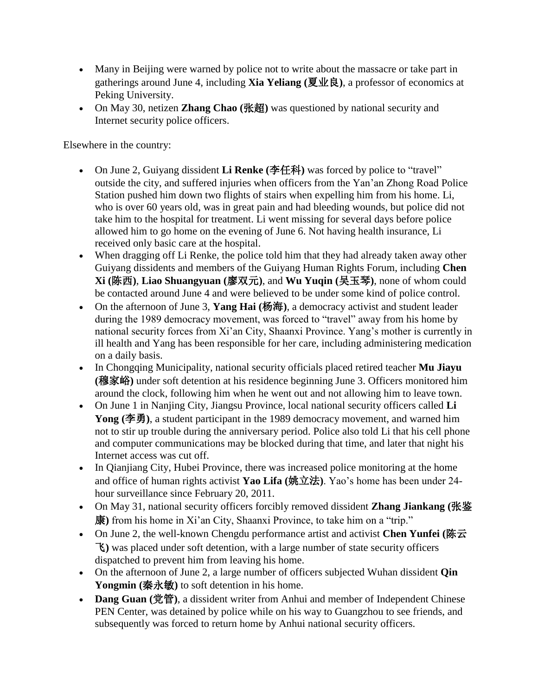- Many in Beijing were warned by police not to write about the massacre or take part in gatherings around June 4, including **Xia Yeliang (**夏业良**)**, a professor of economics at Peking University.
- On May 30, netizen **Zhang Chao (**张超**)** was questioned by national security and Internet security police officers.

Elsewhere in the country:

- On June 2, Guiyang dissident **Li Renke (**李任科**)** was forced by police to "travel" outside the city, and suffered injuries when officers from the Yan'an Zhong Road Police Station pushed him down two flights of stairs when expelling him from his home. Li, who is over 60 years old, was in great pain and had bleeding wounds, but police did not take him to the hospital for treatment. Li went missing for several days before police allowed him to go home on the evening of June 6. Not having health insurance, Li received only basic care at the hospital.
- When dragging off Li Renke, the police told him that they had already taken away other Guiyang dissidents and members of the Guiyang Human Rights Forum, including **Chen Xi (**陈西**)**, **Liao Shuangyuan (**廖双元**)**, and **Wu Yuqin (**吴玉琴**)**, none of whom could be contacted around June 4 and were believed to be under some kind of police control.
- On the afternoon of June 3, **Yang Hai (**杨海**)**, a democracy activist and student leader during the 1989 democracy movement, was forced to "travel" away from his home by national security forces from Xi'an City, Shaanxi Province. Yang's mother is currently in ill health and Yang has been responsible for her care, including administering medication on a daily basis.
- In Chongqing Municipality, national security officials placed retired teacher **Mu Jiayu (**穆家峪**)** under soft detention at his residence beginning June 3. Officers monitored him around the clock, following him when he went out and not allowing him to leave town.
- On June 1 in Nanjing City, Jiangsu Province, local national security officers called **Li Yong (**李勇**)**, a student participant in the 1989 democracy movement, and warned him not to stir up trouble during the anniversary period. Police also told Li that his cell phone and computer communications may be blocked during that time, and later that night his Internet access was cut off.
- In Qianjiang City, Hubei Province, there was increased police monitoring at the home and office of human rights activist **Yao Lifa (**姚立法**)**. Yao's home has been under 24 hour surveillance since February 20, 2011.
- On May 31, national security officers forcibly removed dissident **Zhang Jiankang (**张鉴 康**)** from his home in Xi'an City, Shaanxi Province, to take him on a "trip."
- On June 2, the well-known Chengdu performance artist and activist **Chen Yunfei (**陈云 飞**)** was placed under soft detention, with a large number of state security officers dispatched to prevent him from leaving his home.
- On the afternoon of June 2, a large number of officers subjected Wuhan dissident **Qin**  Yongmin (秦永敏) to soft detention in his home.
- **Dang Guan (**党管**)**, a dissident writer from Anhui and member of Independent Chinese PEN Center, was detained by police while on his way to Guangzhou to see friends, and subsequently was forced to return home by Anhui national security officers.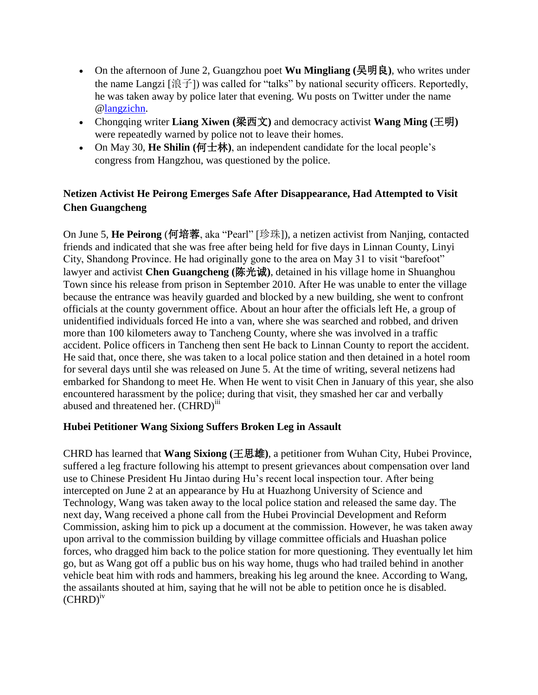- On the afternoon of June 2, Guangzhou poet **Wu Mingliang (**吴明良**)**, who writes under the name Langzi [浪子]) was called for "talks" by national security officers. Reportedly, he was taken away by police later that evening. Wu posts on Twitter under the name [@langzichn.](http://twitter.com/langzichn)
- Chongqing writer **Liang Xiwen (**梁西文**)** and democracy activist **Wang Ming (**王明**)**  were repeatedly warned by police not to leave their homes.
- On May 30, **He Shilin (**何士林**)**, an independent candidate for the local people's congress from Hangzhou, was questioned by the police.

# <span id="page-3-0"></span>**Netizen Activist He Peirong Emerges Safe After Disappearance, Had Attempted to Visit Chen Guangcheng**

On June 5, **He Peirong** (何培蓉, aka "Pearl" [珍珠]), a netizen activist from Nanjing, contacted friends and indicated that she was free after being held for five days in Linnan County, Linyi City, Shandong Province. He had originally gone to the area on May 31 to visit "barefoot" lawyer and activist **Chen Guangcheng (**陈光诚**)**, detained in his village home in Shuanghou Town since his release from prison in September 2010. After He was unable to enter the village because the entrance was heavily guarded and blocked by a new building, she went to confront officials at the county government office. About an hour after the officials left He, a group of unidentified individuals forced He into a van, where she was searched and robbed, and driven more than 100 kilometers away to Tancheng County, where she was involved in a traffic accident. Police officers in Tancheng then sent He back to Linnan County to report the accident. He said that, once there, she was taken to a local police station and then detained in a hotel room for several days until she was released on June 5. At the time of writing, several netizens had embarked for Shandong to meet He. When He went to visit Chen in January of this year, she also encountered harassment by the police; during that visit, they smashed her car and verbally abused and threatened her. (CHRD)<sup>iii</sup>

## <span id="page-3-1"></span>**Hubei Petitioner Wang Sixiong Suffers Broken Leg in Assault**

CHRD has learned that **Wang Sixiong (**王思雄**)**, a petitioner from Wuhan City, Hubei Province, suffered a leg fracture following his attempt to present grievances about compensation over land use to Chinese President Hu Jintao during Hu's recent local inspection tour. After being intercepted on June 2 at an appearance by Hu at Huazhong University of Science and Technology, Wang was taken away to the local police station and released the same day. The next day, Wang received a phone call from the Hubei Provincial Development and Reform Commission, asking him to pick up a document at the commission. However, he was taken away upon arrival to the commission building by village committee officials and Huashan police forces, who dragged him back to the police station for more questioning. They eventually let him go, but as Wang got off a public bus on his way home, thugs who had trailed behind in another vehicle beat him with rods and hammers, breaking his leg around the knee. According to Wang, the assailants shouted at him, saying that he will not be able to petition once he is disabled.  $(CHRD)^{iv}$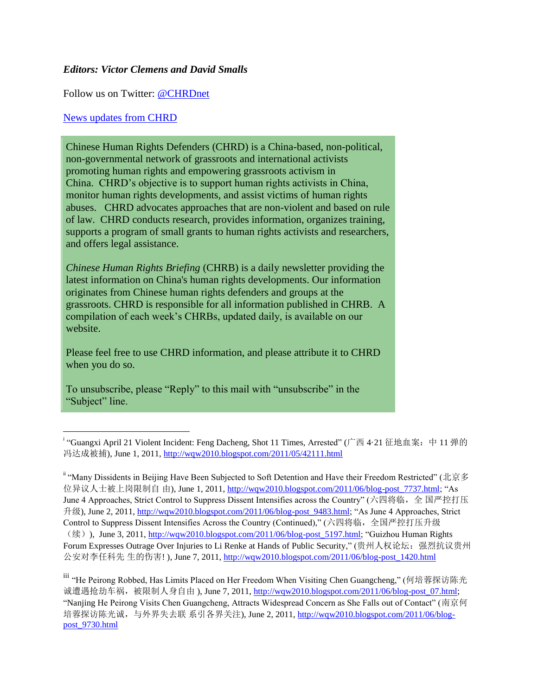### *Editors: Victor Clemens and David Smalls*

Follow us on Twitter: [@CHRDnet](http://twitter.com/#%21/CHRDnet)

#### [News updates from CHRD](http://www.chrdnet.org/)

l

Chinese Human Rights Defenders (CHRD) is a China-based, non-political, non-governmental network of grassroots and international activists promoting human rights and empowering grassroots activism in China. CHRD's objective is to support human rights activists in China, monitor human rights developments, and assist victims of human rights abuses. CHRD advocates approaches that are non-violent and based on rule of law. CHRD conducts research, provides information, organizes training, supports a program of small grants to human rights activists and researchers, and offers legal assistance.

*Chinese Human Rights Briefing* (CHRB) is a daily newsletter providing the latest information on China's human rights developments. Our information originates from Chinese human rights defenders and groups at the grassroots. CHRD is responsible for all information published in CHRB. A compilation of each week's CHRBs, updated daily, is available on our website.

Please feel free to use CHRD information, and please attribute it to CHRD when you do so.

To unsubscribe, please "Reply" to this mail with "unsubscribe" in the "Subject" line.

ii "Many Dissidents in Beijing Have Been Subjected to Soft Detention and Have their Freedom Restricted" (北京多 位异议人士被上岗限制自 由), June 1, 2011[, http://wqw2010.blogspot.com/2011/06/blog-post\\_7737.html;](http://wqw2010.blogspot.com/2011/06/blog-post_7737.html) "As June 4 Approaches, Strict Control to Suppress Dissent Intensifies across the Country" (六四将临,全 国严控打压 升级), June 2, 2011, [http://wqw2010.blogspot.com/2011/06/blog-post\\_9483.html;](http://wqw2010.blogspot.com/2011/06/blog-post_9483.html) "As June 4 Approaches, Strict Control to Suppress Dissent Intensifies Across the Country (Continued)," (六四将临,全国严控打压升级 (续)), June 3, 2011, [http://wqw2010.blogspot.com/2011/06/blog-post\\_5197.html;](http://wqw2010.blogspot.com/2011/06/blog-post_5197.html) "Guizhou Human Rights Forum Expresses Outrage Over Injuries to Li Renke at Hands of Public Security," (贵州人权论坛: 强烈抗议贵州 公安对李任科先 生的伤害! ), June 7, 2011[, http://wqw2010.blogspot.com/2011/06/blog-post\\_1420.html](http://wqw2010.blogspot.com/2011/06/blog-post_1420.html)

iii "He Peirong Robbed, Has Limits Placed on Her Freedom When Visiting Chen Guangcheng," (何培蓉探访陈光 诚遭遇抢劫车祸, 被限制人身自由), June 7, 2011[, http://wqw2010.blogspot.com/2011/06/blog-post\\_07.html;](http://wqw2010.blogspot.com/2011/06/blog-post_07.html) "Nanjing He Peirong Visits Chen Guangcheng, Attracts Widespread Concern as She Falls out of Contact" (南京何 培蓉探访陈光诚,与外界失去联 系引各界关注), June 2, 2011[, http://wqw2010.blogspot.com/2011/06/blog](http://wqw2010.blogspot.com/2011/06/blog-post_9730.html)[post\\_9730.html](http://wqw2010.blogspot.com/2011/06/blog-post_9730.html)

<sup>&</sup>lt;sup>i</sup> "Guangxi April 21 Violent Incident: Feng Dacheng, Shot 11 Times, Arrested" (广西 4·21 征地血案: 中 11 弹的 冯达成被捕), June 1, 2011,<http://wqw2010.blogspot.com/2011/05/42111.html>